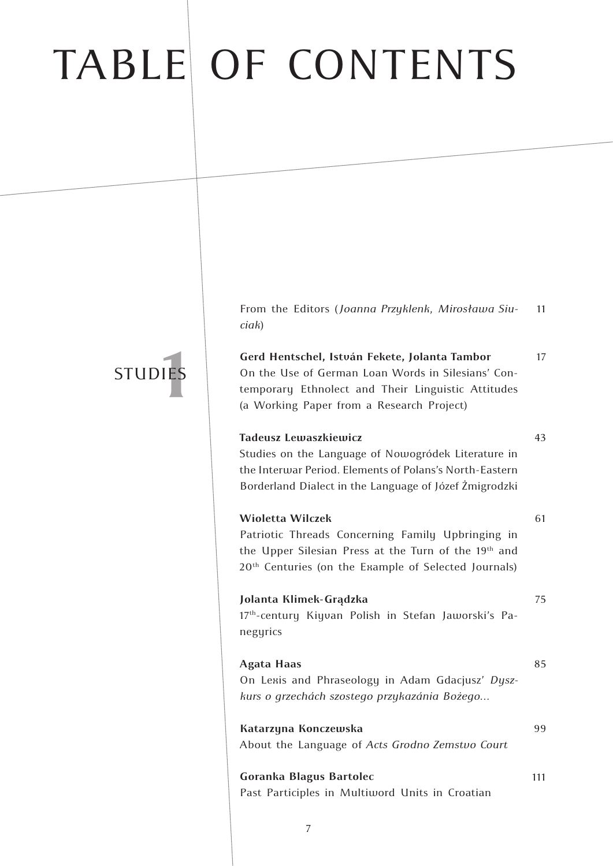# TABLE OF CONTENTS

From the Editors (*Joanna Przyklenk*, *Mirosława Siuciak*) 11

17

43

61

75

99

### **1ES** STUDIES

**Gerd Hentschel, István Fekete, Jolanta Tambor** On the Use of German Loan Words in Silesians' Contemporary Ethnolect and Their Linguistic Attitudes (a Working Paper from a Research Project)

### **Tadeusz Lewaszkiewicz**

Studies on the Language of Nowogródek Literature in the Interwar Period. Elements of Polans's North-Eastern Borderland Dialect in the Language of Józef Żmigrodzki

### **Wioletta Wilczek**

Patriotic Threads Concerning Family Upbringing in the Upper Silesian Press at the Turn of the 19<sup>th</sup> and 20<sup>th</sup> Centuries (on the Example of Selected Journals)

### **Jolanta Klimek-Grądzka**

17<sup>th</sup>-century Kiyvan Polish in Stefan Jaworski's Panegyrics

### **Agata Haas** On Lexis and Phraseology in Adam Gdacjusz' *Dyszkurs o grzechách szostego przykazánia Bożego…* 85

**Katarzyna Konczewska** About the Language of *Acts Grodno Zemstvo Court*

**Goranka Blagus Bartolec** Past Participles in Multiword Units in Croatian 111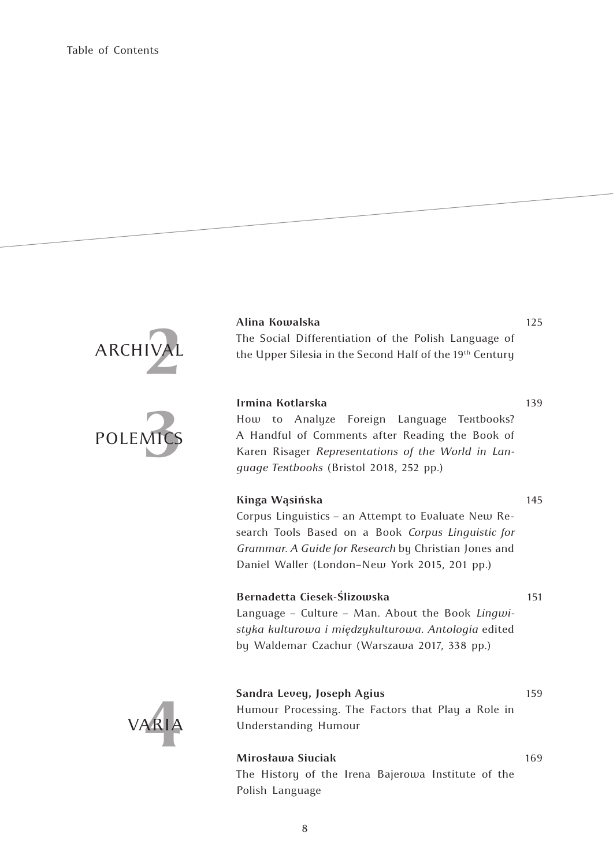## ARCHIVAL **2**



### **Alina Kowalska**

The Social Differentiation of the Polish Language of the Upper Silesia in the Second Half of the 19<sup>th</sup> Century

125

139

145

169

### **Irmina Kotlarska**

How to Analyze Foreign Language Textbooks? A Handful of Comments after Reading the Book of Karen Risager *Representations of the World in Language Textbooks* (Bristol 2018, 252 pp.)

#### **Kinga Wąsińska**

Corpus Linguistics – an Attempt to Evaluate New Research Tools Based on a Book *Corpus Linguistic for Grammar. A Guide for Research* by Christian Jones and Daniel Waller (London–New York 2015, 201 pp.)

#### **Bernadetta Ciesek-Ślizowska**

Language – Culture – Man. About the Book *Lingwistyka kulturowa i międzykulturowa. Antologia* edited by Waldemar Czachur (Warszawa 2017, 338 pp.) 151



**Sandra Levey, Joseph Agius** Humour Processing. The Factors that Play a Role in Understanding Humour 159

### **Mirosława Siuciak**

The History of the Irena Bajerowa Institute of the Polish Language

8